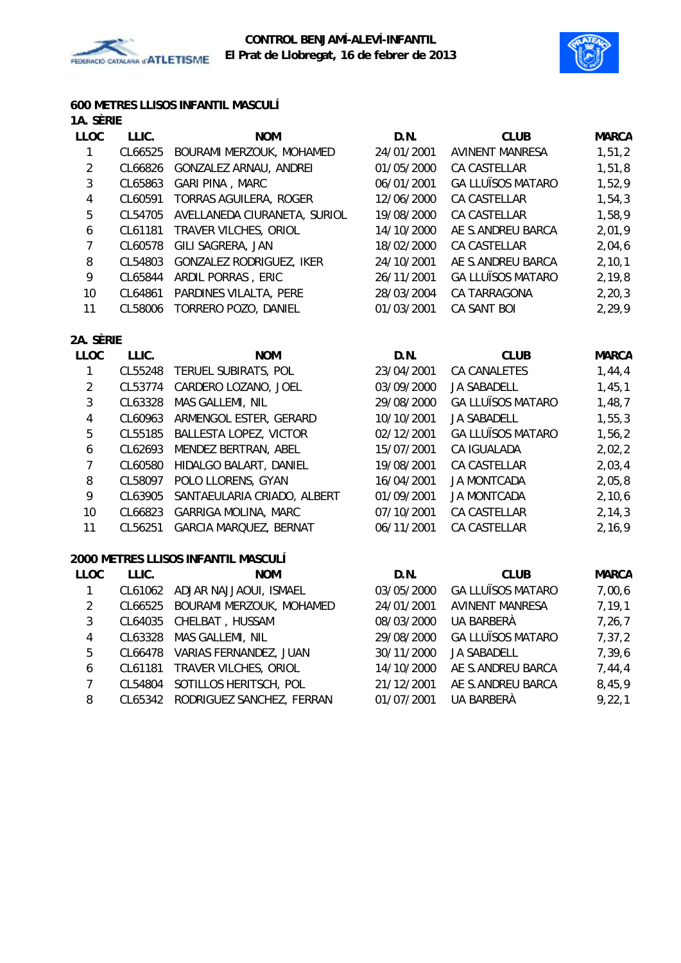



#### **600 METRES LLISOS INFANTIL MASCULÍ 1A. SÈRIE**

| 1A. SERIE   |         |                                 |            |                          |              |
|-------------|---------|---------------------------------|------------|--------------------------|--------------|
| <b>LLOC</b> | LLIC.   | <b>NOM</b>                      | D.N.       | <b>CLUB</b>              | <b>MARCA</b> |
| 1.          | CL66525 | BOURAMI MERZOUK, MOHAMED        | 24/01/2001 | <b>AVINENT MANRESA</b>   | 1,51,2       |
| 2           |         | CL66826 GONZALEZ ARNAU, ANDREI  | 01/05/2000 | CA CASTELLAR             | 1,51,8       |
| 3           | CL65863 | <b>GARI PINA, MARC</b>          | 06/01/2001 | <b>GA LLUÏSOS MATARO</b> | 1,52,9       |
| 4           | CL60591 | TORRAS AGUILERA, ROGER          | 12/06/2000 | CA CASTELLAR             | 1,54,3       |
| 5           | CL54705 | AVELLANEDA CIURANETA, SURIOL    | 19/08/2000 | <b>CA CASTELLAR</b>      | 1,58,9       |
| 6           | CL61181 | TRAVER VILCHES, ORIOL           | 14/10/2000 | AE S.ANDREU BARCA        | 2,01,9       |
| 7           | CL60578 | GILI SAGRERA, JAN               | 18/02/2000 | <b>CA CASTELLAR</b>      | 2,04,6       |
| 8           | CL54803 | <b>GONZALEZ RODRIGUEZ, IKER</b> | 24/10/2001 | AE S.ANDREU BARCA        | 2, 10, 1     |
| 9           | CL65844 | ARDIL PORRAS, ERIC              | 26/11/2001 | <b>GA LLUÏSOS MATARO</b> | 2,19,8       |
| 10          | CL64861 | PARDINES VILALTA, PERE          | 28/03/2004 | CA TARRAGONA             | 2, 20, 3     |
| 11          | CL58006 | TORRERO POZO, DANIEL            | 01/03/2001 | CA SANT BOI              | 2,29,9       |
|             |         |                                 |            |                          |              |

## **2A. SÈRIE**

| <b>LLOC</b>    | LLIC.   | <b>NOM</b>                          | D.N.       | <b>CLUB</b>              | <b>MARCA</b> |
|----------------|---------|-------------------------------------|------------|--------------------------|--------------|
|                | CL55248 | TERUEL SUBIRATS, POL                | 23/04/2001 | CA CANALETES             | 1,44,4       |
| 2              | CL53774 | CARDERO LOZANO, JOEL                | 03/09/2000 | <b>JA SABADELL</b>       | 1,45,1       |
| 3              | CL63328 | MAS GALLEMI, NIL                    | 29/08/2000 | <b>GA LLUÏSOS MATARO</b> | 1,48,7       |
| 4              | CL60963 | ARMENGOL ESTER, GERARD              | 10/10/2001 | <b>JA SABADELL</b>       | 1, 55, 3     |
| 5              | CL55185 | <b>BALLESTA LOPEZ, VICTOR</b>       | 02/12/2001 | <b>GA LLUÏSOS MATARO</b> | 1,56,2       |
| 6              | CL62693 | MENDEZ BERTRAN, ABEL                | 15/07/2001 | CA IGUALADA              | 2,02,2       |
| 7              | CL60580 | HIDALGO BALART, DANIEL              | 19/08/2001 | CA CASTELLAR             | 2,03,4       |
| 8              | CL58097 | POLO LLORENS, GYAN                  | 16/04/2001 | <b>JA MONTCADA</b>       | 2,05,8       |
| 9              | CL63905 | SANTAEULARIA CRIADO, ALBERT         | 01/09/2001 | <b>JA MONTCADA</b>       | 2,10,6       |
| 10             | CL66823 | <b>GARRIGA MOLINA, MARC</b>         | 07/10/2001 | CA CASTELLAR             | 2, 14, 3     |
| 11             | CL56251 | GARCIA MARQUEZ, BERNAT              | 06/11/2001 | CA CASTELLAR             | 2,16,9       |
|                |         | 2000 METRES LLISOS INFANTIL MASCULÍ |            |                          |              |
| <b>LLOC</b>    | LLIC.   | <b>NOM</b>                          | D.N.       | <b>CLUB</b>              | <b>MARCA</b> |
| 1              | CL61062 | ADJAR NAJJAOUI, ISMAEL              | 03/05/2000 | <b>GA LLUÏSOS MATARO</b> | 7,00,6       |
| $\overline{2}$ | CL66525 | BOURAMI MERZOUK, MOHAMED            | 24/01/2001 | AVINENT MANRESA          | 7, 19, 1     |
| 3              | CL64035 | CHELBAT, HUSSAM                     | 08/03/2000 | UA BARBERÀ               | 7,26,7       |

4 CL63328 MAS GALLEMI, NIL 29/08/2000 GA LLUÏSOS MATARO 7,37,2 5 CL66478 VARIAS FERNANDEZ, JUAN 30/11/2000 JA SABADELL 7,39,6 6 CL61181 TRAVER VILCHES, ORIOL 14/10/2000 AE S.ANDREU BARCA 7,44,4 7 CL54804 SOTILLOS HERITSCH, POL 21/12/2001 AE S.ANDREU BARCA 8,45,9 8 CL65342 RODRIGUEZ SANCHEZ, FERRAN 01/07/2001 UA BARBERÀ 9,22,1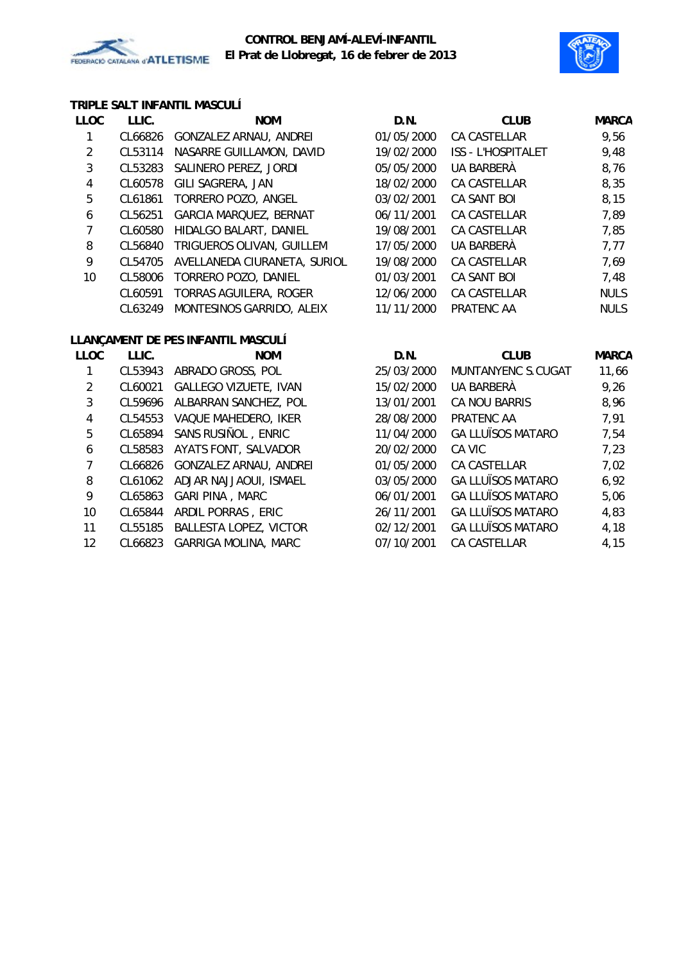



## **TRIPLE SALT INFANTIL MASCULÍ**

| <b>LLOC</b> | LLIC.   | <b>NOM</b>                    | D.N.       | <b>CLUB</b>               | <b>MARCA</b> |
|-------------|---------|-------------------------------|------------|---------------------------|--------------|
|             | CL66826 | GONZALEZ ARNAU, ANDREI        | 01/05/2000 | CA CASTELLAR              | 9,56         |
| 2           | CL53114 | NASARRE GUILLAMON, DAVID      | 19/02/2000 | <b>ISS - L'HOSPITALET</b> | 9,48         |
| 3           | CL53283 | SALINERO PEREZ, JORDI         | 05/05/2000 | UA BARBERÀ                | 8,76         |
| 4           | CL60578 | GILI SAGRERA, JAN             | 18/02/2000 | CA CASTELLAR              | 8,35         |
| 5           | CL61861 | TORRERO POZO, ANGEL           | 03/02/2001 | CA SANT BOI               | 8,15         |
| 6           | CL56251 | <b>GARCIA MARQUEZ, BERNAT</b> | 06/11/2001 | CA CASTELLAR              | 7,89         |
|             | CL60580 | HIDALGO BALART, DANIEL        | 19/08/2001 | <b>CA CASTELLAR</b>       | 7,85         |
| 8           | CL56840 | TRIGUEROS OLIVAN, GUILLEM     | 17/05/2000 | UA BARBERÀ                | 7,77         |
| 9           | CL54705 | AVELLANEDA CIURANETA, SURIOL  | 19/08/2000 | CA CASTELLAR              | 7,69         |
| 10          | CL58006 | TORRERO POZO, DANIEL          | 01/03/2001 | CA SANT BOI               | 7,48         |
|             | CL60591 | TORRAS AGUILERA, ROGER        | 12/06/2000 | <b>CA CASTELLAR</b>       | <b>NULS</b>  |
|             | CL63249 | MONTESINOS GARRIDO, ALEIX     | 11/11/2000 | PRATENC AA                | <b>NULS</b>  |

# **LLANÇAMENT DE PES INFANTIL MASCULÍ**

| LLOC              | LLIC.   | <b>NOM</b>                    | D.N.       | <b>CLUB</b>              | <b>MARCA</b> |
|-------------------|---------|-------------------------------|------------|--------------------------|--------------|
|                   | CL53943 | ABRADO GROSS, POL             | 25/03/2000 | MUNTANYENC S.CUGAT       | 11,66        |
| 2                 | CL60021 | <b>GALLEGO VIZUETE, IVAN</b>  | 15/02/2000 | UA BARBERÀ               | 9,26         |
| 3                 | CL59696 | ALBARRAN SANCHEZ, POL         | 13/01/2001 | CA NOU BARRIS            | 8,96         |
| 4                 | CL54553 | VAQUE MAHEDERO, IKER          | 28/08/2000 | PRATENC AA               | 7,91         |
| 5                 | CL65894 | SANS RUSIÑOL, ENRIC           | 11/04/2000 | <b>GA LLUÏSOS MATARO</b> | 7,54         |
| 6                 | CL58583 | AYATS FONT, SALVADOR          | 20/02/2000 | CA VIC                   | 7,23         |
| 7                 | CL66826 | GONZALEZ ARNAU, ANDREI        | 01/05/2000 | CA CASTELLAR             | 7,02         |
| 8                 | CL61062 | ADJAR NAJJAOUI, ISMAEL        | 03/05/2000 | <b>GA LLUÏSOS MATARO</b> | 6,92         |
| 9                 | CL65863 | GARI PINA, MARC               | 06/01/2001 | <b>GA LLUÏSOS MATARO</b> | 5,06         |
| 10                | CL65844 | ARDIL PORRAS, ERIC            | 26/11/2001 | <b>GA LLUÏSOS MATARO</b> | 4,83         |
| 11                | CL55185 | <b>BALLESTA LOPEZ, VICTOR</b> | 02/12/2001 | <b>GA LLUÏSOS MATARO</b> | 4,18         |
| $12 \overline{ }$ | CL66823 | <b>GARRIGA MOLINA, MARC</b>   | 07/10/2001 | CA CASTELLAR             | 4,15         |
|                   |         |                               |            |                          |              |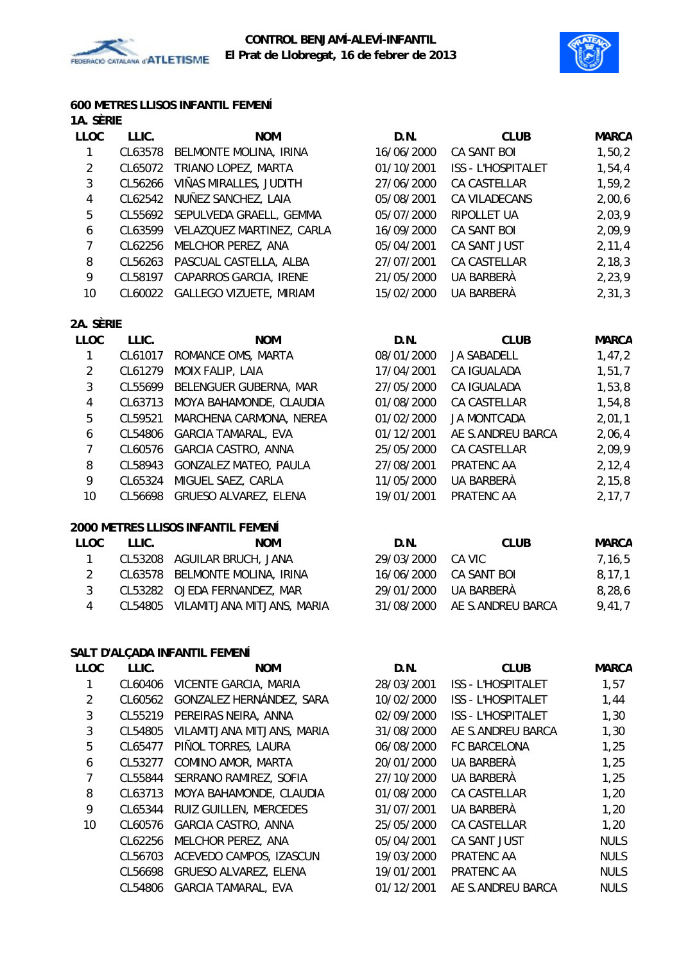



### **600 METRES LLISOS INFANTIL FEMENÍ 1A. SÈRIE**

| 176. JENE   |         |                                 |            |                           |              |
|-------------|---------|---------------------------------|------------|---------------------------|--------------|
| <b>LLOC</b> | LLIC.   | <b>NOM</b>                      | D.N.       | <b>CLUB</b>               | <b>MARCA</b> |
| 1           |         | CL63578 BELMONTE MOLINA, IRINA  | 16/06/2000 | CA SANT BOI               | 1,50,2       |
| 2           |         | CL65072 TRIANO LOPEZ, MARTA     | 01/10/2001 | <b>ISS - L'HOSPITALET</b> | 1,54,4       |
| 3           | CL56266 | VIÑAS MIRALLES, JUDITH          | 27/06/2000 | CA CASTELLAR              | 1,59,2       |
| 4           |         | CL62542 NUÑEZ SANCHEZ, LAIA     | 05/08/2001 | CA VILADECANS             | 2,00,6       |
| 5           |         | CL55692 SEPULVEDA GRAELL, GEMMA | 05/07/2000 | RIPOLLET UA               | 2,03,9       |
| 6           | CL63599 | VELAZQUEZ MARTINEZ, CARLA       | 16/09/2000 | CA SANT BOI               | 2,09,9       |
| 7           | CL62256 | MELCHOR PEREZ, ANA              | 05/04/2001 | CA SANT JUST              | 2, 11, 4     |
| 8           |         | CL56263 PASCUAL CASTELLA, ALBA  | 27/07/2001 | CA CASTELLAR              | 2, 18, 3     |
| 9           | CL58197 | CAPARROS GARCIA, IRENE          | 21/05/2000 | UA BARBERÀ                | 2,23,9       |
| 10          |         | CL60022 GALLEGO VIZUETE, MIRIAM | 15/02/2000 | UA BARBERÀ                | 2, 31, 3     |
|             |         |                                 |            |                           |              |

## **2A. SÈRIE**

| LLIC.   | <b>NOM</b>                   | D.N.       | <b>CLUB</b>        | <b>MARCA</b> |
|---------|------------------------------|------------|--------------------|--------------|
| CL61017 | ROMANCE OMS, MARTA           | 08/01/2000 | <b>JA SABADELL</b> | 1,47,2       |
| CL61279 | MOIX FALIP, LAIA             | 17/04/2001 | CA IGUALADA        | 1,51,7       |
| CL55699 | BELENGUER GUBERNA, MAR       | 27/05/2000 | CA IGUALADA        | 1,53,8       |
| CL63713 | MOYA BAHAMONDE, CLAUDIA      | 01/08/2000 | CA CASTELLAR       | 1,54,8       |
| CL59521 | MARCHENA CARMONA, NEREA      | 01/02/2000 | <b>JA MONTCADA</b> | 2,01,1       |
| CL54806 | <b>GARCIA TAMARAL, EVA</b>   | 01/12/2001 | AE S.ANDREU BARCA  | 2,06,4       |
| CL60576 | <b>GARCIA CASTRO, ANNA</b>   | 25/05/2000 | CA CASTELLAR       | 2,09,9       |
| CL58943 | <b>GONZALEZ MATEO, PAULA</b> | 27/08/2001 | PRATENC AA         | 2, 12, 4     |
| CL65324 | MIGUEL SAEZ, CARLA           | 11/05/2000 | UA BARBERÀ         | 2, 15, 8     |
| CL56698 | <b>GRUESO ALVAREZ, ELENA</b> | 19/01/2001 | PRATENC AA         | 2, 17, 7     |
|         |                              |            |                    |              |

## **2000 METRES LLISOS INFANTIL FEMENÍ**

| LLOC          | LLIC. | <b>NOM</b>                         | D.N.                  | <b>CLUB</b>                  | MARCA  |
|---------------|-------|------------------------------------|-----------------------|------------------------------|--------|
|               |       | CL53208 AGUILAR BRUCH, JANA        | 29/03/2000            | CA VIC                       | 7.16.5 |
|               |       | CL63578 BELMONTE MOLINA, IRINA     |                       | 16/06/2000 CA SANT BOI       | 8.17.1 |
| $\mathcal{R}$ |       | CL53282 OJEDA FERNANDEZ, MAR       | 29/01/2000 UA BARBERÀ |                              | 8.28.6 |
| 4             |       | CL54805 VILAMITJANA MITJANS, MARIA |                       | 31/08/2000 AE S.ANDREU BARCA | 9.41.7 |

### **SALT D'ALÇADA INFANTIL FEMENÍ**

| <b>LLOC</b> | LLIC.   | <b>NOM</b>                 | D.N.       | <b>CLUB</b>               | <b>MARCA</b> |
|-------------|---------|----------------------------|------------|---------------------------|--------------|
|             | CL60406 | VICENTE GARCIA, MARIA      | 28/03/2001 | <b>ISS - L'HOSPITALET</b> | 1,57         |
| 2           | CL60562 | GONZALEZ HERNÁNDEZ, SARA   | 10/02/2000 | <b>ISS - L'HOSPITALET</b> | 1,44         |
| 3           | CL55219 | PEREIRAS NEIRA, ANNA       | 02/09/2000 | <b>ISS - L'HOSPITALET</b> | 1,30         |
| 3           | CL54805 | VILAMITJANA MITJANS, MARIA | 31/08/2000 | AE S.ANDREU BARCA         | 1,30         |
| 5           | CL65477 | PIÑOL TORRES, LAURA        | 06/08/2000 | FC BARCELONA              | 1,25         |
| 6           | CL53277 | COMINO AMOR, MARTA         | 20/01/2000 | UA BARBERÀ                | 1,25         |
| 7           | CL55844 | SERRANO RAMIREZ, SOFIA     | 27/10/2000 | UA BARBERÀ                | 1,25         |
| 8           | CL63713 | MOYA BAHAMONDE, CLAUDIA    | 01/08/2000 | CA CASTELLAR              | 1,20         |
| 9           | CL65344 | RUIZ GUILLEN, MERCEDES     | 31/07/2001 | UA BARBERÀ                | 1,20         |
| 10          | CL60576 | GARCIA CASTRO, ANNA        | 25/05/2000 | CA CASTELLAR              | 1,20         |
|             | CL62256 | MELCHOR PEREZ, ANA         | 05/04/2001 | CA SANT JUST              | <b>NULS</b>  |
|             | CL56703 | ACEVEDO CAMPOS, IZASCUN    | 19/03/2000 | PRATENC AA                | <b>NULS</b>  |
|             | CL56698 | GRUESO ALVAREZ, ELENA      | 19/01/2001 | PRATENC AA                | <b>NULS</b>  |
|             | CL54806 | <b>GARCIA TAMARAL, EVA</b> | 01/12/2001 | AE S.ANDREU BARCA         | <b>NULS</b>  |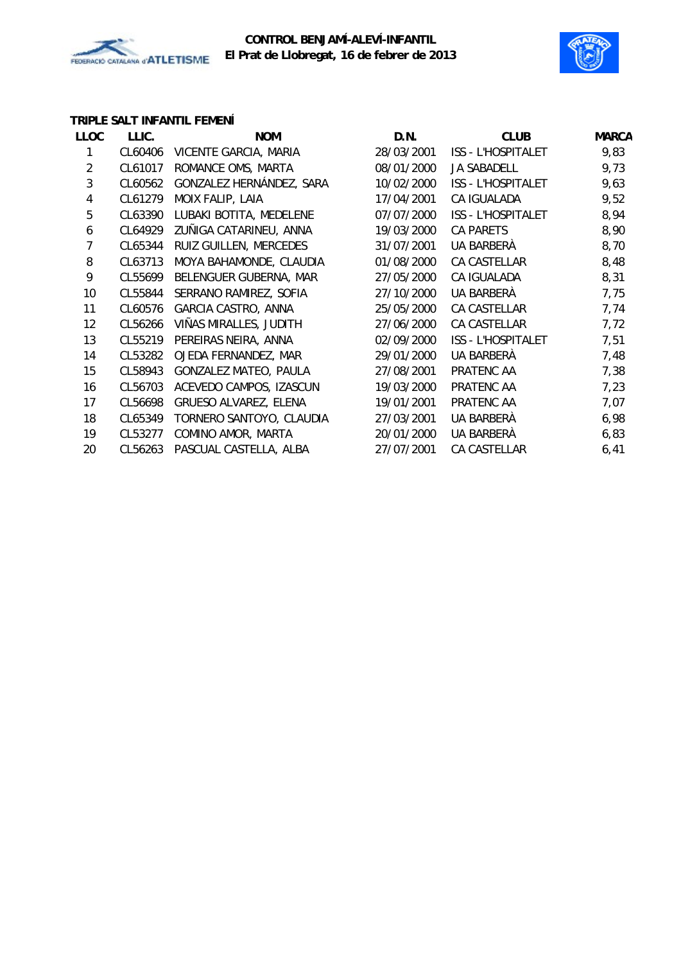

### **CONTROL BENJAMÍ-ALEVÍ-INFANTIL El Prat de Llobregat, 16 de febrer de 2013**



## **TRIPLE SALT INFANTIL FEMENÍ**

| <b>LLOC</b>    | LLIC.   | <b>NOM</b>                 | D.N.       | <b>CLUB</b>               | <b>MARCA</b> |
|----------------|---------|----------------------------|------------|---------------------------|--------------|
|                | CL60406 | VICENTE GARCIA, MARIA      | 28/03/2001 | <b>ISS - L'HOSPITALET</b> | 9,83         |
| $\overline{2}$ | CL61017 | ROMANCE OMS, MARTA         | 08/01/2000 | <b>JA SABADELL</b>        | 9,73         |
| 3              | CL60562 | GONZALEZ HERNÁNDEZ, SARA   | 10/02/2000 | <b>ISS - L'HOSPITALET</b> | 9,63         |
| 4              | CL61279 | MOIX FALIP, LAIA           | 17/04/2001 | CA IGUALADA               | 9,52         |
| 5              | CL63390 | LUBAKI BOTITA, MEDELENE    | 07/07/2000 | ISS - L'HOSPITALET        | 8,94         |
| 6              | CL64929 | ZUÑIGA CATARINEU, ANNA     | 19/03/2000 | <b>CA PARETS</b>          | 8,90         |
| 7              | CL65344 | RUIZ GUILLEN, MERCEDES     | 31/07/2001 | UA BARBERÀ                | 8,70         |
| 8              | CL63713 | MOYA BAHAMONDE, CLAUDIA    | 01/08/2000 | CA CASTELLAR              | 8,48         |
| 9              | CL55699 | BELENGUER GUBERNA, MAR     | 27/05/2000 | CA IGUALADA               | 8,31         |
| 10             | CL55844 | SERRANO RAMIREZ, SOFIA     | 27/10/2000 | UA BARBERÀ                | 7,75         |
| 11             | CL60576 | <b>GARCIA CASTRO, ANNA</b> | 25/05/2000 | CA CASTELLAR              | 7,74         |
| 12             | CL56266 | VIÑAS MIRALLES, JUDITH     | 27/06/2000 | CA CASTELLAR              | 7,72         |
| 13             | CL55219 | PEREIRAS NEIRA, ANNA       | 02/09/2000 | ISS - L'HOSPITALET        | 7,51         |
| 14             | CL53282 | OJEDA FERNANDEZ, MAR       | 29/01/2000 | UA BARBERÀ                | 7,48         |
| 15             | CL58943 | GONZALEZ MATEO, PAULA      | 27/08/2001 | PRATENC AA                | 7,38         |
| 16             | CL56703 | ACEVEDO CAMPOS, IZASCUN    | 19/03/2000 | PRATENC AA                | 7,23         |
| 17             | CL56698 | GRUESO ALVAREZ, ELENA      | 19/01/2001 | PRATENC AA                | 7,07         |
| 18             | CL65349 | TORNERO SANTOYO, CLAUDIA   | 27/03/2001 | UA BARBERÀ                | 6,98         |
| 19             | CL53277 | COMINO AMOR, MARTA         | 20/01/2000 | UA BARBERÀ                | 6,83         |
| 20             | CL56263 | PASCUAL CASTELLA, ALBA     | 27/07/2001 | CA CASTELLAR              | 6,41         |
|                |         |                            |            |                           |              |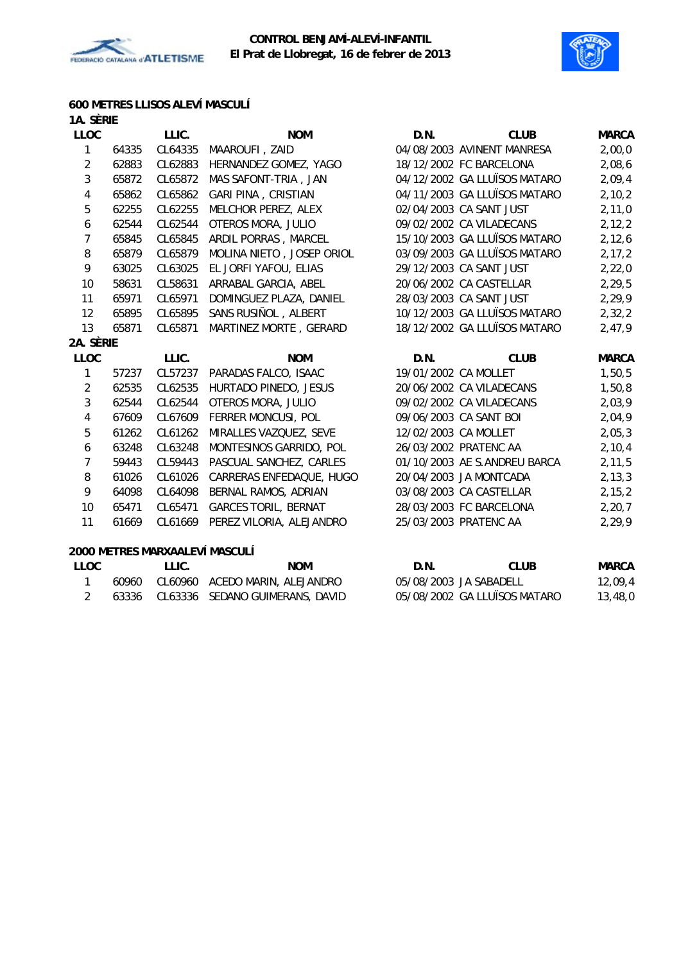



# **600 METRES LLISOS ALEVÍ MASCULÍ**

| 1A. SÈRIE                |       |                                |                             |                      |                              |              |
|--------------------------|-------|--------------------------------|-----------------------------|----------------------|------------------------------|--------------|
| <b>LLOC</b>              |       | LLIC.                          | <b>NOM</b>                  | D.N.                 | <b>CLUB</b>                  | <b>MARCA</b> |
| 1                        | 64335 | CL64335                        | MAAROUFI, ZAID              |                      | 04/08/2003 AVINENT MANRESA   | 2,00,0       |
| $\overline{2}$           | 62883 | CL62883                        | HERNANDEZ GOMEZ, YAGO       |                      | 18/12/2002 FC BARCELONA      | 2,08,6       |
| 3                        | 65872 | CL65872                        | MAS SAFONT-TRIA, JAN        |                      | 04/12/2002 GA LLUÏSOS MATARO | 2,09,4       |
| 4                        | 65862 | CL65862                        | <b>GARI PINA, CRISTIAN</b>  |                      | 04/11/2003 GA LLUÏSOS MATARO | 2,10,2       |
| $\sqrt{5}$               | 62255 | CL62255                        | MELCHOR PEREZ, ALEX         |                      | 02/04/2003 CA SANT JUST      | 2,11,0       |
| 6                        | 62544 | CL62544                        | OTEROS MORA, JULIO          |                      | 09/02/2002 CA VILADECANS     | 2, 12, 2     |
| $\overline{7}$           | 65845 | CL65845                        | ARDIL PORRAS, MARCEL        |                      | 15/10/2003 GA LLUÏSOS MATARO | 2,12,6       |
| 8                        | 65879 | CL65879                        | MOLINA NIETO, JOSEP ORIOL   |                      | 03/09/2003 GA LLUÏSOS MATARO | 2, 17, 2     |
| 9                        | 63025 | CL63025                        | EL JORFI YAFOU, ELIAS       |                      | 29/12/2003 CA SANT JUST      | 2,22,0       |
| 10                       | 58631 | CL58631                        | ARRABAL GARCIA, ABEL        |                      | 20/06/2002 CA CASTELLAR      | 2,29,5       |
| 11                       | 65971 | CL65971                        | DOMINGUEZ PLAZA, DANIEL     |                      | 28/03/2003 CA SANT JUST      | 2,29,9       |
| 12                       | 65895 | CL65895                        | SANS RUSIÑOL, ALBERT        |                      | 10/12/2003 GA LLUÏSOS MATARO | 2,32,2       |
| 13                       | 65871 | CL65871                        | MARTINEZ MORTE, GERARD      |                      | 18/12/2002 GA LLUÏSOS MATARO | 2,47,9       |
| 2A. SÈRIE                |       |                                |                             |                      |                              |              |
| <b>LLOC</b>              |       | LLIC.                          | <b>NOM</b>                  | D.N.                 | <b>CLUB</b>                  | <b>MARCA</b> |
| 1                        | 57237 | CL57237                        | PARADAS FALCO, ISAAC        | 19/01/2002 CA MOLLET |                              | 1,50,5       |
| $\overline{2}$           | 62535 | CL62535                        | HURTADO PINEDO, JESUS       |                      | 20/06/2002 CA VILADECANS     | 1,50,8       |
| 3                        | 62544 | CL62544                        | OTEROS MORA, JULIO          |                      | 09/02/2002 CA VILADECANS     | 2,03,9       |
| $\overline{4}$           | 67609 | CL67609                        | FERRER MONCUSI, POL         |                      | 09/06/2003 CA SANT BOI       | 2,04,9       |
| $\sqrt{5}$               | 61262 | CL61262                        | MIRALLES VAZQUEZ, SEVE      |                      | 12/02/2003 CA MOLLET         | 2,05,3       |
| 6                        | 63248 | CL63248                        | MONTESINOS GARRIDO, POL     |                      | 26/03/2002 PRATENC AA        | 2, 10, 4     |
| $\overline{7}$           | 59443 | CL59443                        | PASCUAL SANCHEZ, CARLES     |                      | 01/10/2003 AE S.ANDREU BARCA | 2, 11, 5     |
| 8                        | 61026 | CL61026                        | CARRERAS ENFEDAQUE, HUGO    |                      | 20/04/2003 JA MONTCADA       | 2, 13, 3     |
| 9                        | 64098 | CL64098                        | BERNAL RAMOS, ADRIAN        |                      | 03/08/2003 CA CASTELLAR      | 2, 15, 2     |
| 10 <sup>°</sup>          | 65471 | CL65471                        | <b>GARCES TORIL, BERNAT</b> |                      | 28/03/2003 FC BARCELONA      | 2, 20, 7     |
| 11                       | 61669 | CL61669                        | PEREZ VILORIA, ALEJANDRO    |                      | 25/03/2003 PRATENC AA        | 2,29,9       |
|                          |       | 2000 METRES MARXAALEVÍ MASCULÍ |                             |                      |                              |              |
| $\overline{\phantom{a}}$ |       | $\overline{\phantom{a}}$       | <b>NIONA</b>                | <b>D.N.</b>          | $C1$ in                      | $\mathbf{A}$ |

| LLOC | LLIC. | <b>NOM</b>                            | D.N. | CLUB                         | MARCA   |
|------|-------|---------------------------------------|------|------------------------------|---------|
|      |       | 60960 CL60960 ACEDO MARIN, ALEJANDRO  |      | 05/08/2003 JA SABADELL       | 12,09,4 |
|      |       | 63336 CL63336 SEDANO GUIMERANS, DAVID |      | 05/08/2002 GA LLUÏSOS MATARO | 13,48,0 |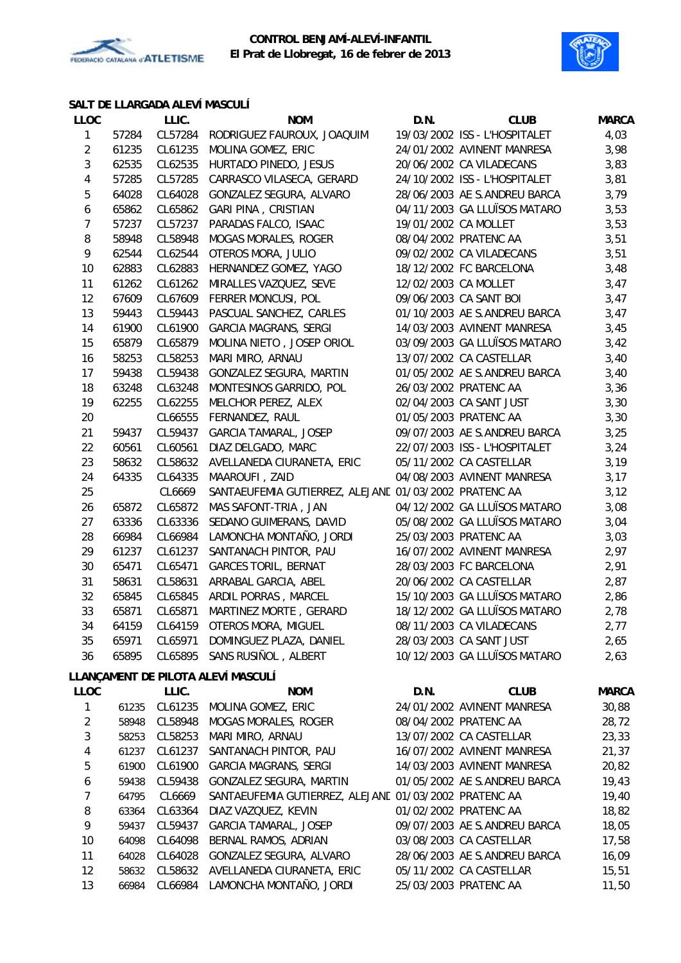



## **SALT DE LLARGADA ALEVÍ MASCULÍ**

| <b>LLOC</b>    |       | LLIC.   | <b>NOM</b>                                            | D.N.                 | <b>CLUB</b>                   | <b>MARCA</b> |
|----------------|-------|---------|-------------------------------------------------------|----------------------|-------------------------------|--------------|
| 1              | 57284 | CL57284 | RODRIGUEZ FAUROUX, JOAQUIM                            |                      | 19/03/2002 ISS - L'HOSPITALET | 4,03         |
| $\overline{c}$ | 61235 | CL61235 | MOLINA GOMEZ, ERIC                                    |                      | 24/01/2002 AVINENT MANRESA    | 3,98         |
| 3              | 62535 | CL62535 | HURTADO PINEDO, JESUS                                 |                      | 20/06/2002 CA VILADECANS      | 3,83         |
| 4              | 57285 | CL57285 | CARRASCO VILASECA, GERARD                             |                      | 24/10/2002 ISS - L'HOSPITALET | 3,81         |
| 5              | 64028 | CL64028 | GONZALEZ SEGURA, ALVARO                               |                      | 28/06/2003 AE S.ANDREU BARCA  | 3,79         |
| 6              | 65862 | CL65862 | <b>GARI PINA, CRISTIAN</b>                            |                      | 04/11/2003 GA LLUÏSOS MATARO  | 3,53         |
| 7              | 57237 | CL57237 | PARADAS FALCO, ISAAC                                  | 19/01/2002 CA MOLLET |                               | 3,53         |
| 8              | 58948 | CL58948 | <b>MOGAS MORALES, ROGER</b>                           |                      | 08/04/2002 PRATENC AA         | 3,51         |
| 9              | 62544 | CL62544 | OTEROS MORA, JULIO                                    |                      | 09/02/2002 CA VILADECANS      | 3,51         |
| 10             | 62883 | CL62883 | HERNANDEZ GOMEZ, YAGO                                 |                      | 18/12/2002 FC BARCELONA       | 3,48         |
| 11             | 61262 | CL61262 | MIRALLES VAZQUEZ, SEVE                                | 12/02/2003 CA MOLLET |                               | 3,47         |
| 12             | 67609 | CL67609 | FERRER MONCUSI, POL                                   |                      | 09/06/2003 CA SANT BOI        | 3,47         |
| 13             | 59443 | CL59443 | PASCUAL SANCHEZ, CARLES                               |                      | 01/10/2003 AE S.ANDREU BARCA  | 3,47         |
| 14             | 61900 | CL61900 | GARCIA MAGRANS, SERGI                                 |                      | 14/03/2003 AVINENT MANRESA    | 3,45         |
| 15             | 65879 | CL65879 | MOLINA NIETO, JOSEP ORIOL                             |                      | 03/09/2003 GA LLUÏSOS MATARO  | 3,42         |
| 16             | 58253 | CL58253 | MARI MIRO, ARNAU                                      |                      | 13/07/2002 CA CASTELLAR       | 3,40         |
| 17             | 59438 | CL59438 | GONZALEZ SEGURA, MARTIN                               |                      | 01/05/2002 AE S.ANDREU BARCA  | 3,40         |
| 18             | 63248 | CL63248 | MONTESINOS GARRIDO, POL                               |                      | 26/03/2002 PRATENC AA         | 3,36         |
| 19             | 62255 | CL62255 | MELCHOR PEREZ, ALEX                                   |                      | 02/04/2003 CA SANT JUST       | 3,30         |
| 20             |       | CL66555 | FERNANDEZ, RAUL                                       |                      | 01/05/2003 PRATENC AA         | 3,30         |
| 21             | 59437 | CL59437 | <b>GARCIA TAMARAL, JOSEP</b>                          |                      | 09/07/2003 AE S.ANDREU BARCA  | 3,25         |
| 22             | 60561 | CL60561 | DIAZ DELGADO, MARC                                    |                      | 22/07/2003 ISS - L'HOSPITALET | 3,24         |
| 23             | 58632 | CL58632 | AVELLANEDA CIURANETA, ERIC                            |                      | 05/11/2002 CA CASTELLAR       | 3,19         |
| 24             | 64335 | CL64335 | MAAROUFI, ZAID                                        |                      | 04/08/2003 AVINENT MANRESA    | 3,17         |
| 25             |       | CL6669  | SANTAEUFEMIA GUTIERREZ, ALEJANE 01/03/2002 PRATENC AA |                      |                               | 3,12         |
| 26             | 65872 | CL65872 | MAS SAFONT-TRIA, JAN                                  |                      | 04/12/2002 GA LLUÏSOS MATARO  | 3,08         |
| 27             | 63336 | CL63336 | SEDANO GUIMERANS, DAVID                               |                      | 05/08/2002 GA LLUÏSOS MATARO  | 3,04         |
| 28             | 66984 | CL66984 | LAMONCHA MONTAÑO, JORDI                               |                      | 25/03/2003 PRATENC AA         | 3,03         |
| 29             | 61237 | CL61237 | SANTANACH PINTOR, PAU                                 |                      | 16/07/2002 AVINENT MANRESA    | 2,97         |
| 30             | 65471 | CL65471 | <b>GARCES TORIL, BERNAT</b>                           |                      | 28/03/2003 FC BARCELONA       | 2,91         |
| 31             | 58631 | CL58631 | ARRABAL GARCIA, ABEL                                  |                      | 20/06/2002 CA CASTELLAR       | 2,87         |
| 32             | 65845 | CL65845 | ARDIL PORRAS, MARCEL                                  |                      | 15/10/2003 GA LLUÏSOS MATARO  | 2,86         |
| 33             | 65871 | CL65871 | MARTINEZ MORTE, GERARD                                |                      | 18/12/2002 GA LLUÏSOS MATARO  | 2,78         |
| 34             | 64159 | CL64159 | OTEROS MORA, MIGUEL                                   |                      | 08/11/2003 CA VILADECANS      | 2,77         |
| 35             | 65971 | CL65971 | DOMINGUEZ PLAZA, DANIEL                               |                      | 28/03/2003 CA SANT JUST       | 2,65         |
| 36             | 65895 | CL65895 | SANS RUSIÑOL, ALBERT                                  |                      | 10/12/2003 GA LLUÏSOS MATARO  | 2,63         |
|                |       |         | LLANÇAMENT DE PILOTA ALEVÍ MASCULÍ                    |                      |                               |              |
| <b>LLOC</b>    |       | LLIC.   | <b>NOM</b>                                            | D.N.                 | <b>CLUB</b>                   | <b>MARCA</b> |
| 1              | 61235 |         | CL61235 MOLINA GOMEZ, ERIC                            |                      | 24/01/2002 AVINENT MANRESA    | 30,88        |
| $\overline{2}$ | 58948 | CL58948 | MOGAS MORALES, ROGER                                  |                      | 08/04/2002 PRATENC AA         | 28,72        |
| 3              | 58253 | CL58253 | MARI MIRO, ARNAU                                      |                      | 13/07/2002 CA CASTELLAR       | 23,33        |
| 4              | 61237 | CL61237 | SANTANACH PINTOR, PAU                                 |                      | 16/07/2002 AVINENT MANRESA    | 21,37        |
| 5              | 61900 | CL61900 | <b>GARCIA MAGRANS, SERGI</b>                          |                      | 14/03/2003 AVINENT MANRESA    | 20,82        |
| 6              | 59438 | CL59438 | GONZALEZ SEGURA, MARTIN                               |                      | 01/05/2002 AE S.ANDREU BARCA  | 19,43        |
| 7              | 64795 | CL6669  | SANTAEUFEMIA GUTIERREZ, ALEJANE 01/03/2002 PRATENC AA |                      |                               | 19,40        |
| 8              | 63364 | CL63364 | DIAZ VAZQUEZ, KEVIN                                   |                      | 01/02/2002 PRATENC AA         | 18,82        |
| 9              | 59437 | CL59437 | GARCIA TAMARAL, JOSEP                                 |                      | 09/07/2003 AE S.ANDREU BARCA  | 18,05        |
| 10             | 64098 | CL64098 | BERNAL RAMOS, ADRIAN                                  |                      | 03/08/2003 CA CASTELLAR       | 17,58        |
| 11             | 64028 |         | CL64028 GONZALEZ SEGURA, ALVARO                       |                      | 28/06/2003 AE S.ANDREU BARCA  | 16,09        |
| 12             | 58632 |         | CL58632 AVELLANEDA CIURANETA, ERIC                    |                      | 05/11/2002 CA CASTELLAR       | 15,51        |
| 13             | 66984 |         | CL66984 LAMONCHA MONTAÑO, JORDI                       |                      | 25/03/2003 PRATENC AA         | 11,50        |
|                |       |         |                                                       |                      |                               |              |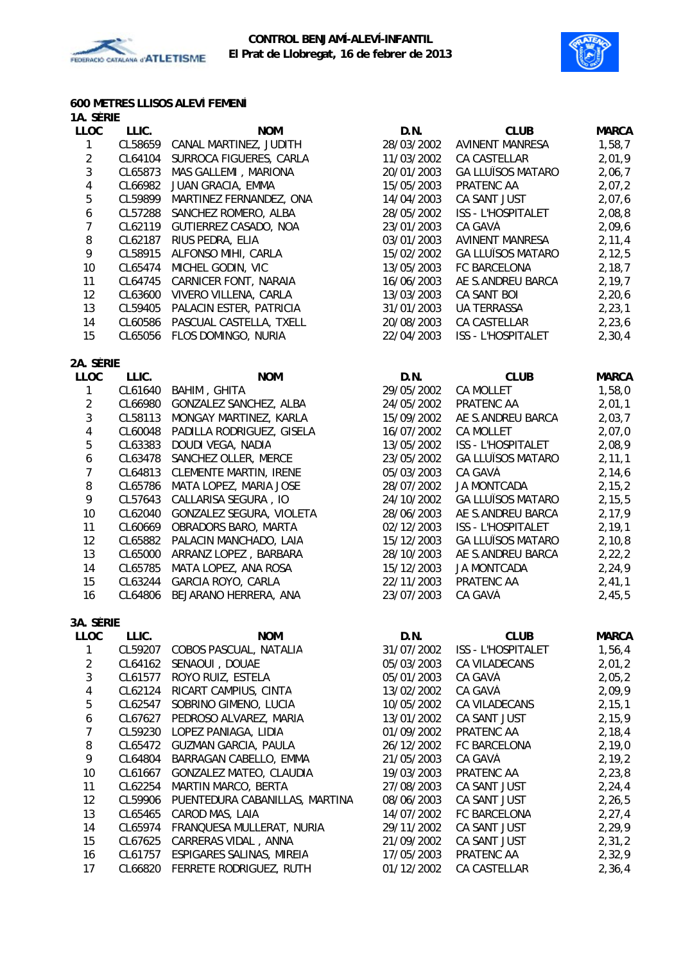



### **600 METRES LLISOS ALEVÍ FEMENÍ 1A. SÈRIE**

| <b>LLOC</b>             | LLIC.   | <b>NOM</b>                     | D.N.       | <b>CLUB</b>              | <b>MARCA</b> |
|-------------------------|---------|--------------------------------|------------|--------------------------|--------------|
| $\mathbf{1}$            | CL58659 | CANAL MARTINEZ, JUDITH         | 28/03/2002 | <b>AVINENT MANRESA</b>   | 1,58,7       |
| $\overline{2}$          | CL64104 | SURROCA FIGUERES, CARLA        | 11/03/2002 | CA CASTELLAR             | 2,01,9       |
| $\mathbf{3}$            | CL65873 | MAS GALLEMI, MARIONA           | 20/01/2003 | <b>GA LLUÏSOS MATARO</b> | 2,06,7       |
| $\overline{\mathbf{4}}$ | CL66982 | JUAN GRACIA, EMMA              | 15/05/2003 | PRATENC AA               | 2,07,2       |
| 5                       | CL59899 | MARTINEZ FERNANDEZ, ONA        | 14/04/2003 | CA SANT JUST             | 2,07,6       |
| $\boldsymbol{6}$        | CL57288 | SANCHEZ ROMERO, ALBA           | 28/05/2002 | ISS - L'HOSPITALET       | 2,08,8       |
| $\overline{7}$          | CL62119 | GUTIERREZ CASADO, NOA          | 23/01/2003 | CA GAVÀ                  | 2,09,6       |
| 8                       | CL62187 | RIUS PEDRA, ELIA               | 03/01/2003 | <b>AVINENT MANRESA</b>   | 2, 11, 4     |
| 9                       | CL58915 | ALFONSO MIHI, CARLA            | 15/02/2002 | <b>GA LLUÏSOS MATARO</b> | 2, 12, 5     |
| 10                      | CL65474 | MICHEL GODIN, VIC              | 13/05/2003 | FC BARCELONA             | 2,18,7       |
| 11                      | CL64745 | CARNICER FONT, NARAIA          | 16/06/2003 | AE S.ANDREU BARCA        | 2, 19, 7     |
| 12                      | CL63600 | VIVERO VILLENA, CARLA          | 13/03/2003 | CA SANT BOI              | 2, 20, 6     |
| 13                      | CL59405 | PALACIN ESTER, PATRICIA        | 31/01/2003 | UA TERRASSA              | 2, 23, 1     |
| 14                      | CL60586 | PASCUAL CASTELLA, TXELL        | 20/08/2003 | CA CASTELLAR             | 2, 23, 6     |
| 15                      | CL65056 | FLOS DOMINGO, NURIA            | 22/04/2003 | ISS - L'HOSPITALET       | 2, 30, 4     |
| 2A. SÈRIE               |         |                                |            |                          |              |
| <b>LLOC</b>             | LLIC.   | <b>NOM</b>                     | D.N.       | <b>CLUB</b>              | <b>MARCA</b> |
| $\mathbf{1}$            | CL61640 | BAHIM, GHITA                   | 29/05/2002 | <b>CA MOLLET</b>         | 1,58,0       |
| $\overline{2}$          | CL66980 | GONZALEZ SANCHEZ, ALBA         | 24/05/2002 | PRATENC AA               | 2,01,1       |
| 3                       | CL58113 | MONGAY MARTINEZ, KARLA         | 15/09/2002 | AE S.ANDREU BARCA        | 2,03,7       |
| $\overline{4}$          | CL60048 | PADILLA RODRIGUEZ, GISELA      | 16/07/2002 | <b>CA MOLLET</b>         | 2,07,0       |
| $\mathbf 5$             | CL63383 | DOUDI VEGA, NADIA              | 13/05/2002 | ISS - L'HOSPITALET       | 2,08,9       |
| $\boldsymbol{6}$        | CL63478 | SANCHEZ OLLER, MERCE           | 23/05/2002 | <b>GA LLUÏSOS MATARO</b> | 2, 11, 1     |
| $\overline{7}$          | CL64813 | <b>CLEMENTE MARTIN, IRENE</b>  | 05/03/2003 | CA GAVÀ                  | 2,14,6       |
| $\, 8$                  | CL65786 | MATA LOPEZ, MARIA JOSE         | 28/07/2002 | <b>JA MONTCADA</b>       | 2, 15, 2     |
| 9                       | CL57643 | CALLARISA SEGURA, IO           | 24/10/2002 | <b>GA LLUÏSOS MATARO</b> | 2, 15, 5     |
| $10$                    | CL62040 | GONZALEZ SEGURA, VIOLETA       | 28/06/2003 | AE S.ANDREU BARCA        | 2,17,9       |
| 11                      | CL60669 | OBRADORS BARO, MARTA           | 02/12/2003 | ISS - L'HOSPITALET       | 2, 19, 1     |
| 12                      | CL65882 | PALACIN MANCHADO, LAIA         | 15/12/2003 | <b>GA LLUÏSOS MATARO</b> | 2, 10, 8     |
| 13                      | CL65000 | ARRANZ LOPEZ, BARBARA          | 28/10/2003 | AE S.ANDREU BARCA        | 2, 22, 2     |
| 14                      | CL65785 | MATA LOPEZ, ANA ROSA           | 15/12/2003 | <b>JA MONTCADA</b>       | 2,24,9       |
| 15                      | CL63244 | GARCIA ROYO, CARLA             | 22/11/2003 | PRATENC AA               | 2,41,1       |
| 16                      | CL64806 | BEJARANO HERRERA, ANA          | 23/07/2003 | CA GAVÀ                  | 2,45,5       |
| 3A. SÈRIE               |         |                                |            |                          |              |
| <b>LLOC</b>             | LLIC.   | <b>NOM</b>                     | D.N.       | <b>CLUB</b>              | <b>MARCA</b> |
| 1                       |         | CL59207 COBOS PASCUAL, NATALIA | 31/07/2002 | ISS - L'HOSPITALET       | 1,56,4       |
| $\overline{2}$          |         | CL64162 SENAOUI, DOUAE         | 05/03/2003 | CA VILADECANS            | 2,01,2       |
| 3                       | CL61577 | ROYO RUIZ, ESTELA              | 05/01/2003 | CA GAVÀ                  | 2,05,2       |
| 4                       | CL62124 | RICART CAMPIUS, CINTA          | 13/02/2002 | CA GAVÀ                  | 2,09,9       |
| 5                       | CL62547 | SOBRINO GIMENO, LUCIA          | 10/05/2002 | CA VILADECANS            | 2, 15, 1     |
| 6                       | CL67627 | PEDROSO ALVAREZ, MARIA         | 13/01/2002 | CA SANT JUST             | 2,15,9       |
| $\overline{7}$          | CL59230 | LOPEZ PANIAGA, LIDIA           | 01/09/2002 | PRATENC AA               | 2, 18, 4     |
| 8                       | CL65472 | <b>GUZMAN GARCIA, PAULA</b>    | 26/12/2002 | FC BARCELONA             | 2,19,0       |
| 9                       | CL64804 | BARRAGAN CABELLO, EMMA         | 21/05/2003 | CA GAVÀ                  | 2, 19, 2     |
| 10                      | CL61667 | GONZALEZ MATEO, CLAUDIA        | 19/03/2003 | PRATENC AA               | 2, 23, 8     |
| 11                      | CL62254 | MARTIN MARCO, BERTA            | 27/08/2003 | CA SANT JUST             | 2, 24, 4     |
| 12                      | CL59906 | PUENTEDURA CABANILLAS, MARTINA | 08/06/2003 | CA SANT JUST             | 2, 26, 5     |
| 13                      | CL65465 | CAROD MAS, LAIA                | 14/07/2002 | FC BARCELONA             | 2, 27, 4     |
| 14                      | CL65974 | FRANQUESA MULLERAT, NURIA      | 29/11/2002 | CA SANT JUST             | 2,29,9       |
| 15                      | CL67625 | CARRERAS VIDAL, ANNA           | 21/09/2002 | CA SANT JUST             | 2, 31, 2     |
| 16                      | CL61757 | ESPIGARES SALINAS, MIREIA      | 17/05/2003 | PRATENC AA               | 2,32,9       |
| 17                      | CL66820 | FERRETE RODRIGUEZ, RUTH        | 01/12/2002 | CA CASTELLAR             | 2,36,4       |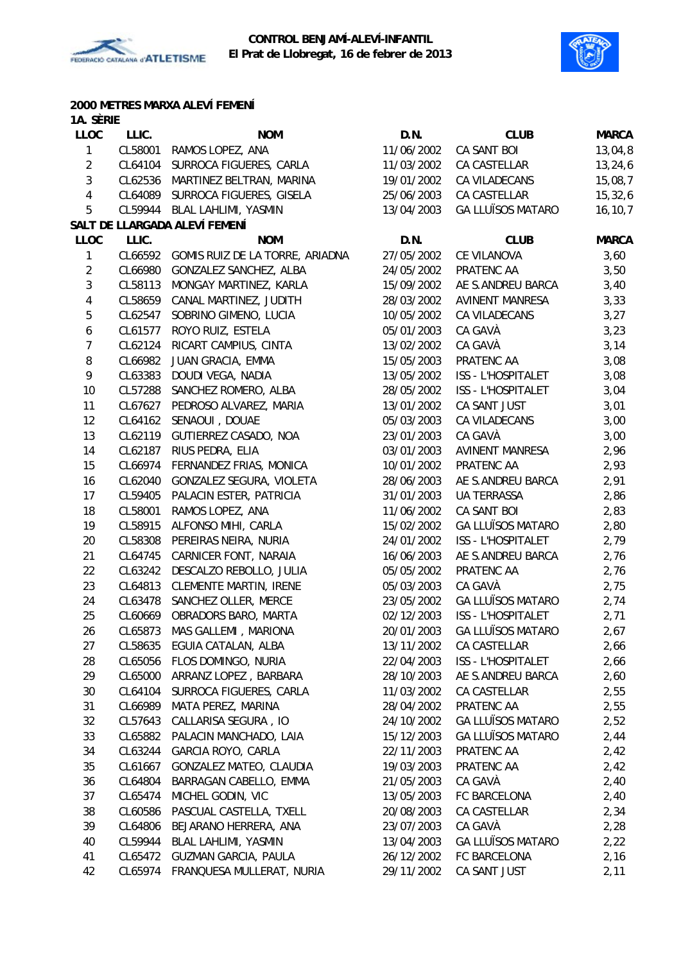



# **2000 METRES MARXA ALEVÍ FEMENÍ**

| 1A. Sèrie        |         |                                         |            |                           |              |
|------------------|---------|-----------------------------------------|------------|---------------------------|--------------|
| <b>LLOC</b>      | LLIC.   | <b>NOM</b>                              | D.N.       | <b>CLUB</b>               | <b>MARCA</b> |
| $\mathbf{1}$     |         | CL58001 RAMOS LOPEZ, ANA                | 11/06/2002 | CA SANT BOI               | 13,04,8      |
| $\overline{2}$   |         | CL64104 SURROCA FIGUERES, CARLA         | 11/03/2002 | CA CASTELLAR              | 13, 24, 6    |
| $\mathbf{3}$     | CL62536 | MARTINEZ BELTRAN, MARINA                | 19/01/2002 | CA VILADECANS             | 15,08,7      |
| 4                | CL64089 | SURROCA FIGUERES, GISELA                | 25/06/2003 | CA CASTELLAR              | 15, 32, 6    |
| 5                |         | CL59944 BLAL LAHLIMI, YASMIN            | 13/04/2003 | <b>GA LLUÏSOS MATARO</b>  | 16, 10, 7    |
|                  |         | SALT DE LLARGADA ALEVÍ FEMENÍ           |            |                           |              |
| <b>LLOC</b>      | LLIC.   | <b>NOM</b>                              | D.N.       | <b>CLUB</b>               | <b>MARCA</b> |
| $\mathbf{1}$     |         | CL66592 GOMIS RUIZ DE LA TORRE, ARIADNA | 27/05/2002 | CE VILANOVA               | 3,60         |
| $\overline{2}$   | CL66980 | GONZALEZ SANCHEZ, ALBA                  | 24/05/2002 | PRATENC AA                | 3,50         |
| 3                | CL58113 | MONGAY MARTINEZ, KARLA                  | 15/09/2002 | AE S.ANDREU BARCA         | 3,40         |
| 4                |         | CL58659 CANAL MARTINEZ, JUDITH          | 28/03/2002 | <b>AVINENT MANRESA</b>    | 3,33         |
| 5                |         | CL62547 SOBRINO GIMENO, LUCIA           | 10/05/2002 | CA VILADECANS             | 3,27         |
| $\boldsymbol{6}$ |         | CL61577 ROYO RUIZ, ESTELA               | 05/01/2003 | CA GAVÀ                   | 3,23         |
| $\overline{7}$   | CL62124 | RICART CAMPIUS, CINTA                   | 13/02/2002 | CA GAVÀ                   | 3,14         |
| 8                | CL66982 | JUAN GRACIA, EMMA                       | 15/05/2003 | PRATENC AA                | 3,08         |
| 9                | CL63383 | DOUDI VEGA, NADIA                       | 13/05/2002 | ISS - L'HOSPITALET        | 3,08         |
| 10               | CL57288 | SANCHEZ ROMERO, ALBA                    | 28/05/2002 | <b>ISS - L'HOSPITALET</b> | 3,04         |
| 11               |         | CL67627 PEDROSO ALVAREZ, MARIA          | 13/01/2002 | CA SANT JUST              | 3,01         |
| 12               | CL64162 | SENAOUI, DOUAE                          | 05/03/2003 | CA VILADECANS             | 3,00         |
| 13               | CL62119 | GUTIERREZ CASADO, NOA                   | 23/01/2003 | CA GAVÀ                   | 3,00         |
| 14               | CL62187 | RIUS PEDRA, ELIA                        | 03/01/2003 | <b>AVINENT MANRESA</b>    | 2,96         |
| 15               |         | CL66974 FERNANDEZ FRIAS, MONICA         | 10/01/2002 | PRATENC AA                | 2,93         |
| 16               |         | CL62040 GONZALEZ SEGURA, VIOLETA        | 28/06/2003 | AE S.ANDREU BARCA         | 2,91         |
| 17               |         | CL59405 PALACIN ESTER, PATRICIA         | 31/01/2003 | <b>UA TERRASSA</b>        | 2,86         |
| 18               | CL58001 | RAMOS LOPEZ, ANA                        | 11/06/2002 | CA SANT BOI               |              |
|                  |         |                                         |            | <b>GA LLUÏSOS MATARO</b>  | 2,83         |
| 19               | CL58915 | ALFONSO MIHI, CARLA                     | 15/02/2002 |                           | 2,80         |
| 20               | CL58308 | PEREIRAS NEIRA, NURIA                   | 24/01/2002 | ISS - L'HOSPITALET        | 2,79         |
| 21               | CL64745 | CARNICER FONT, NARAIA                   | 16/06/2003 | AE S.ANDREU BARCA         | 2,76         |
| 22               |         | CL63242 DESCALZO REBOLLO, JULIA         | 05/05/2002 | PRATENC AA                | 2,76         |
| 23               | CL64813 | <b>CLEMENTE MARTIN, IRENE</b>           | 05/03/2003 | CA GAVÀ                   | 2,75         |
| 24               | CL63478 | SANCHEZ OLLER, MERCE                    | 23/05/2002 | <b>GA LLUÏSOS MATARO</b>  | 2,74         |
| 25               | CL60669 | OBRADORS BARO, MARTA                    | 02/12/2003 | ISS - L'HOSPITALET        | 2,71         |
| 26               | CL65873 | MAS GALLEMI, MARIONA                    | 20/01/2003 | <b>GA LLUÏSOS MATARO</b>  | 2,67         |
| 27               | CL58635 | EGUIA CATALAN, ALBA                     | 13/11/2002 | CA CASTELLAR              | 2,66         |
| 28               | CL65056 | FLOS DOMINGO, NURIA                     | 22/04/2003 | ISS - L'HOSPITALET        | 2,66         |
| 29               | CL65000 | ARRANZ LOPEZ, BARBARA                   | 28/10/2003 | AE S.ANDREU BARCA         | 2,60         |
| 30               | CL64104 | SURROCA FIGUERES, CARLA                 | 11/03/2002 | CA CASTELLAR              | 2,55         |
| 31               | CL66989 | MATA PEREZ, MARINA                      | 28/04/2002 | PRATENC AA                | 2,55         |
| 32               |         | CL57643 CALLARISA SEGURA, IO            | 24/10/2002 | <b>GA LLUÏSOS MATARO</b>  | 2,52         |
| 33               | CL65882 | PALACIN MANCHADO, LAIA                  | 15/12/2003 | <b>GA LLUÏSOS MATARO</b>  | 2,44         |
| 34               | CL63244 | GARCIA ROYO, CARLA                      | 22/11/2003 | PRATENC AA                | 2,42         |
| 35               | CL61667 | GONZALEZ MATEO, CLAUDIA                 | 19/03/2003 | PRATENC AA                | 2,42         |
| 36               | CL64804 | BARRAGAN CABELLO, EMMA                  | 21/05/2003 | CA GAVÀ                   | 2,40         |
| 37               | CL65474 | MICHEL GODIN, VIC                       | 13/05/2003 | FC BARCELONA              | 2,40         |
| 38               | CL60586 | PASCUAL CASTELLA, TXELL                 | 20/08/2003 | CA CASTELLAR              | 2,34         |
| 39               | CL64806 | BEJARANO HERRERA, ANA                   | 23/07/2003 | CA GAVÀ                   | 2,28         |
| 40               | CL59944 | BLAL LAHLIMI, YASMIN                    | 13/04/2003 | <b>GA LLUÏSOS MATARO</b>  | 2,22         |
| 41               |         | CL65472 GUZMAN GARCIA, PAULA            | 26/12/2002 | FC BARCELONA              | 2,16         |
| 42               |         | CL65974 FRANQUESA MULLERAT, NURIA       | 29/11/2002 | CA SANT JUST              | 2,11         |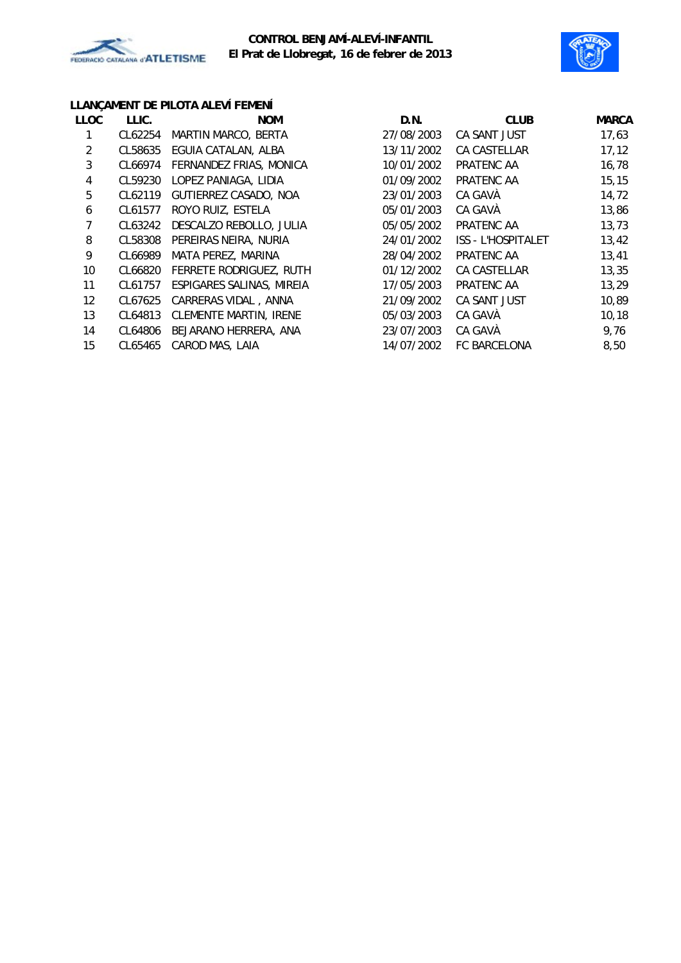

# **CONTROL BENJAMÍ-ALEVÍ-INFANTIL El Prat de Llobregat, 16 de febrer de 2013**



# **LLANÇAMENT DE PILOTA ALEVÍ FEMENÍ**

| <b>LLOC</b>       | LLIC.   | <b>NOM</b>                    | D.N.       | <b>CLUB</b>               | <b>MARCA</b> |
|-------------------|---------|-------------------------------|------------|---------------------------|--------------|
|                   | CL62254 | MARTIN MARCO, BERTA           | 27/08/2003 | CA SANT JUST              | 17,63        |
| 2                 | CL58635 | EGUIA CATALAN, ALBA           | 13/11/2002 | CA CASTELLAR              | 17, 12       |
| 3                 | CL66974 | FERNANDEZ FRIAS, MONICA       | 10/01/2002 | PRATENC AA                | 16,78        |
| 4                 | CL59230 | LOPEZ PANIAGA, LIDIA          | 01/09/2002 | PRATENC AA                | 15, 15       |
| 5                 | CL62119 | GUTIERREZ CASADO, NOA         | 23/01/2003 | CA GAVÀ                   | 14,72        |
| 6                 | CL61577 | ROYO RUIZ, ESTELA             | 05/01/2003 | CA GAVÀ                   | 13,86        |
|                   | CL63242 | DESCALZO REBOLLO, JULIA       | 05/05/2002 | PRATENC AA                | 13,73        |
| 8                 | CL58308 | PEREIRAS NEIRA, NURIA         | 24/01/2002 | <b>ISS - L'HOSPITALET</b> | 13,42        |
| 9                 | CL66989 | MATA PEREZ, MARINA            | 28/04/2002 | PRATENC AA                | 13,41        |
| 10                | CL66820 | FERRETE RODRIGUEZ, RUTH       | 01/12/2002 | CA CASTELLAR              | 13,35        |
| 11                | CL61757 | ESPIGARES SALINAS, MIREIA     | 17/05/2003 | PRATENC AA                | 13,29        |
| $12 \overline{ }$ | CL67625 | CARRERAS VIDAL, ANNA          | 21/09/2002 | CA SANT JUST              | 10,89        |
| 13                | CL64813 | <b>CLEMENTE MARTIN, IRENE</b> | 05/03/2003 | CA GAVÀ                   | 10, 18       |
| 14                | CL64806 | BEJARANO HERRERA, ANA         | 23/07/2003 | CA GAVÀ                   | 9,76         |
| 15                | CL65465 | CAROD MAS, LAIA               | 14/07/2002 | <b>FC BARCELONA</b>       | 8,50         |
|                   |         |                               |            |                           |              |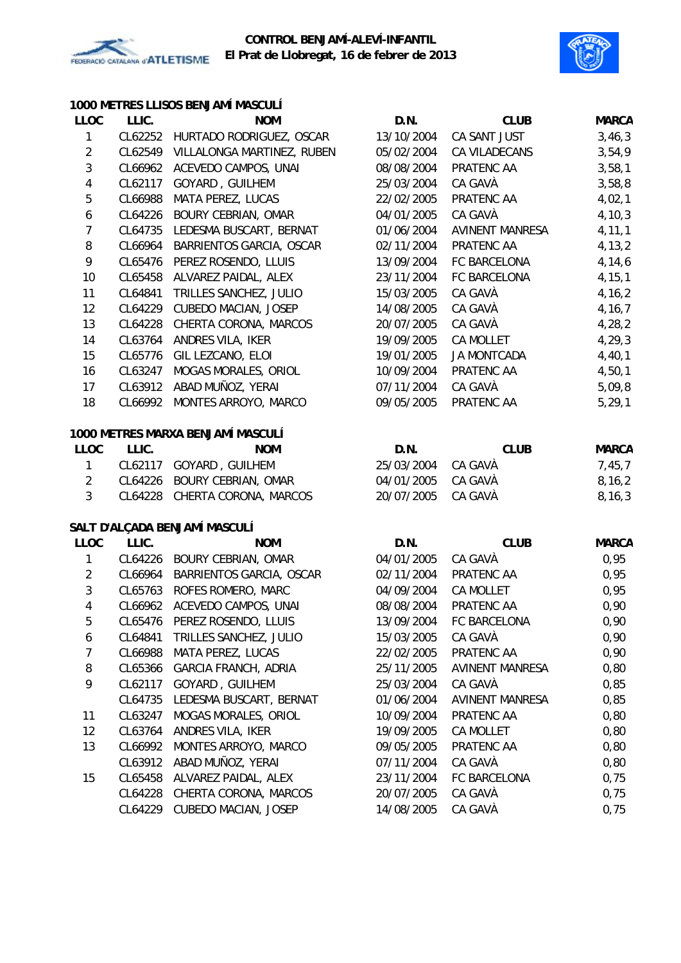



### **1000 METRES LLISOS BENJAMÍ MASCULÍ**

| <b>LLOC</b>    | LLIC.   | <b>NOM</b>                        | D.N.       | <b>CLUB</b>            | <b>MARCA</b> |
|----------------|---------|-----------------------------------|------------|------------------------|--------------|
| 1              | CL62252 | HURTADO RODRIGUEZ, OSCAR          | 13/10/2004 | CA SANT JUST           | 3,46,3       |
| $\overline{2}$ | CL62549 | VILLALONGA MARTINEZ, RUBEN        | 05/02/2004 | CA VILADECANS          | 3,54,9       |
| 3              | CL66962 | ACEVEDO CAMPOS, UNAI              | 08/08/2004 | PRATENC AA             | 3,58,1       |
| 4              | CL62117 | GOYARD, GUILHEM                   | 25/03/2004 | CA GAVÀ                | 3,58,8       |
| 5              | CL66988 | MATA PEREZ, LUCAS                 | 22/02/2005 | PRATENC AA             | 4,02,1       |
| 6              | CL64226 | <b>BOURY CEBRIAN, OMAR</b>        | 04/01/2005 | CA GAVÀ                | 4, 10, 3     |
| $\overline{7}$ | CL64735 | LEDESMA BUSCART, BERNAT           | 01/06/2004 | <b>AVINENT MANRESA</b> | 4, 11, 1     |
| 8              | CL66964 | BARRIENTOS GARCIA, OSCAR          | 02/11/2004 | PRATENC AA             | 4, 13, 2     |
| 9              | CL65476 | PEREZ ROSENDO, LLUIS              | 13/09/2004 | FC BARCELONA           | 4,14,6       |
| 10             | CL65458 | ALVAREZ PAIDAL, ALEX              | 23/11/2004 | FC BARCELONA           | 4, 15, 1     |
| 11             | CL64841 | TRILLES SANCHEZ, JULIO            | 15/03/2005 | CA GAVÀ                | 4, 16, 2     |
| 12             | CL64229 | CUBEDO MACIAN, JOSEP              | 14/08/2005 | CA GAVÀ                | 4, 16, 7     |
| 13             | CL64228 | CHERTA CORONA, MARCOS             | 20/07/2005 | CA GAVÀ                | 4,28,2       |
| 14             | CL63764 | ANDRES VILA, IKER                 | 19/09/2005 | <b>CA MOLLET</b>       | 4, 29, 3     |
| 15             | CL65776 | GIL LEZCANO, ELOI                 | 19/01/2005 | JA MONTCADA            | 4,40,1       |
| 16             | CL63247 | MOGAS MORALES, ORIOL              | 10/09/2004 | PRATENC AA             | 4,50,1       |
| 17             | CL63912 | ABAD MUÑOZ, YERAI                 | 07/11/2004 | CA GAVÀ                | 5,09,8       |
| 18             | CL66992 | MONTES ARROYO, MARCO              | 09/05/2005 | PRATENC AA             | 5, 29, 1     |
|                |         |                                   |            |                        |              |
|                |         | 1000 METRES MARXA BENJAMÍ MASCULÍ |            |                        |              |
| <b>LLOC</b>    | LLIC.   | <b>NOM</b>                        | D.N.       | <b>CLUB</b>            | <b>MARCA</b> |
| $\mathbf{1}$   |         | CL62117 GOYARD, GUILHEM           | 25/03/2004 | CA GAVÀ                | 7,45,7       |
| $\overline{2}$ | CL64226 | <b>BOURY CEBRIAN, OMAR</b>        | 04/01/2005 | CA GAVÀ                | 8, 16, 2     |
| $\overline{3}$ |         | CL64228 CHERTA CORONA, MARCOS     | 20/07/2005 | CA GAVÀ                | 8, 16, 3     |
|                |         |                                   |            |                        |              |
|                |         | SALT D'ALÇADA BENJAMÍ MASCULÍ     |            |                        |              |
| <b>LLOC</b>    | LLIC.   | <b>NOM</b>                        | D.N.       | <b>CLUB</b>            | <b>MARCA</b> |
| $\mathbf{1}$   |         | CL64226 BOURY CEBRIAN, OMAR       | 04/01/2005 | CA GAVÀ                | 0,95         |
| $\overline{2}$ | CL66964 | BARRIENTOS GARCIA, OSCAR          | 02/11/2004 | PRATENC AA             | 0,95         |
| $\mathbf{3}$   | CL65763 | ROFES ROMERO, MARC                | 04/09/2004 | CA MOLLET              | 0,95         |
| $\overline{4}$ |         | CL66962 ACEVEDO CAMPOS, UNAI      | 08/08/2004 | PRATENC AA             | 0,90         |
| 5              | CL65476 | PEREZ ROSENDO, LLUIS              | 13/09/2004 | FC BARCELONA           | 0,90         |
| 6              | CL64841 | TRILLES SANCHEZ, JULIO            | 15/03/2005 | CA GAVÀ                | 0,90         |
| 7              | CL66988 | MATA PEREZ, LUCAS                 | 22/02/2005 | PRATENC AA             | 0,90         |
| 8              | CL65366 | <b>GARCIA FRANCH, ADRIA</b>       | 25/11/2005 | <b>AVINENT MANRESA</b> | 0,80         |
| 9              | CL62117 | GOYARD, GUILHEM                   | 25/03/2004 | CA GAVÀ                | 0,85         |
|                | CL64735 | LEDESMA BUSCART, BERNAT           | 01/06/2004 | <b>AVINENT MANRESA</b> | 0,85         |
| 11             | CL63247 | MOGAS MORALES, ORIOL              | 10/09/2004 | PRATENC AA             | 0,80         |
| 12             | CL63764 | ANDRES VILA, IKER                 | 19/09/2005 | CA MOLLET              | 0,80         |
| 13             | CL66992 | MONTES ARROYO, MARCO              | 09/05/2005 | PRATENC AA             | 0,80         |
|                | CL63912 | ABAD MUÑOZ, YERAI                 | 07/11/2004 | CA GAVÀ                | 0,80         |
| 15             | CL65458 | ALVAREZ PAIDAL, ALEX              | 23/11/2004 | FC BARCELONA           | 0,75         |
|                | CL64228 | CHERTA CORONA, MARCOS             | 20/07/2005 | CA GAVÀ                | 0,75         |
|                | CL64229 | CUBEDO MACIAN, JOSEP              | 14/08/2005 | CA GAVÀ                | 0,75         |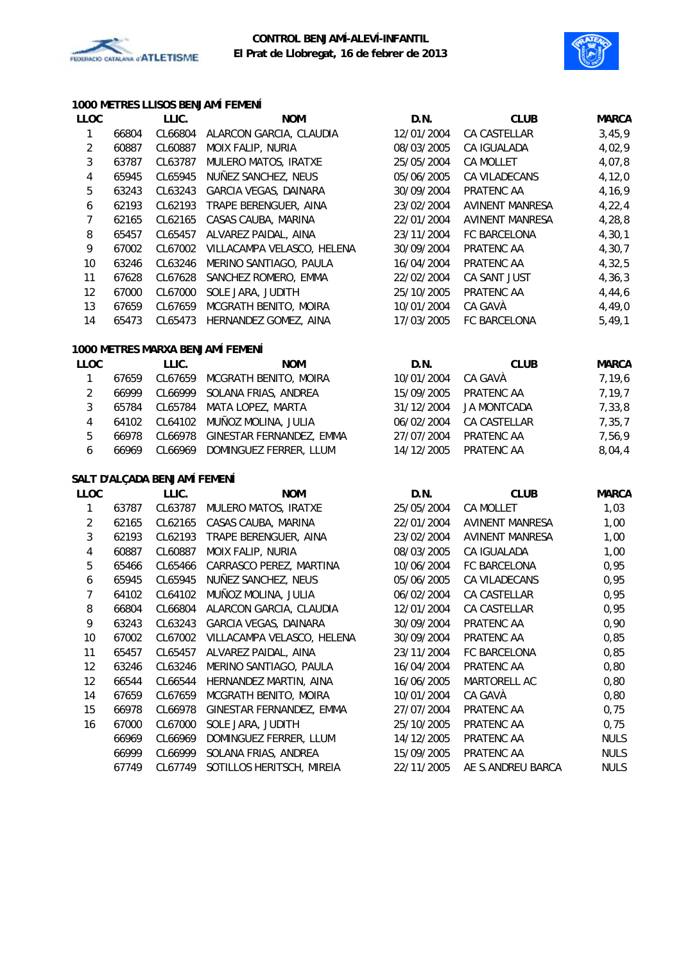

### **CONTROL BENJAMÍ-ALEVÍ-INFANTIL El Prat de Llobregat, 16 de febrer de 2013**



### **1000 METRES LLISOS BENJAMÍ FEMENÍ**

| <b>LLOC</b>             |       | LLIC.                        | <b>NOM</b>                         | D.N.       | <b>CLUB</b>            | <b>MARCA</b> |
|-------------------------|-------|------------------------------|------------------------------------|------------|------------------------|--------------|
| $\mathbf 1$             | 66804 | CL66804                      | ALARCON GARCIA, CLAUDIA            | 12/01/2004 | CA CASTELLAR           | 3,45,9       |
| $\overline{c}$          | 60887 | CL60887                      | MOIX FALIP, NURIA                  | 08/03/2005 | CA IGUALADA            | 4,02,9       |
| 3                       | 63787 | CL63787                      | MULERO MATOS, IRATXE               | 25/05/2004 | CA MOLLET              | 4,07,8       |
| 4                       | 65945 | CL65945                      | NUÑEZ SANCHEZ, NEUS                | 05/06/2005 | CA VILADECANS          | 4, 12, 0     |
| 5                       | 63243 | CL63243                      | GARCIA VEGAS, DAINARA              | 30/09/2004 | PRATENC AA             | 4,16,9       |
| 6                       | 62193 | CL62193                      | TRAPE BERENGUER, AINA              | 23/02/2004 | <b>AVINENT MANRESA</b> | 4, 22, 4     |
| 7                       | 62165 | CL62165                      | CASAS CAUBA, MARINA                | 22/01/2004 | <b>AVINENT MANRESA</b> | 4,28,8       |
| 8                       | 65457 | CL65457                      | ALVAREZ PAIDAL, AINA               | 23/11/2004 | FC BARCELONA           | 4, 30, 1     |
| 9                       | 67002 | CL67002                      | VILLACAMPA VELASCO, HELENA         | 30/09/2004 | PRATENC AA             | 4,30,7       |
| 10                      | 63246 | CL63246                      | MERINO SANTIAGO, PAULA             | 16/04/2004 | PRATENC AA             | 4, 32, 5     |
| 11                      | 67628 | CL67628                      | SANCHEZ ROMERO, EMMA               | 22/02/2004 | CA SANT JUST           | 4, 36, 3     |
| 12                      | 67000 | CL67000                      | SOLE JARA, JUDITH                  | 25/10/2005 | PRATENC AA             | 4,44,6       |
| 13                      | 67659 | CL67659                      | MCGRATH BENITO, MOIRA              | 10/01/2004 | CA GAVÀ                | 4,49,0       |
| 14                      | 65473 | CL65473                      | HERNANDEZ GOMEZ, AINA              | 17/03/2005 | FC BARCELONA           | 5,49,1       |
|                         |       |                              | 1000 METRES MARXA BENJAMÍ FEMENÍ   |            |                        |              |
| <b>LLOC</b>             |       | LLIC.                        | <b>NOM</b>                         | D.N.       | <b>CLUB</b>            | <b>MARCA</b> |
| $\mathbf{1}$            | 67659 | CL67659                      | MCGRATH BENITO, MOIRA              | 10/01/2004 | CA GAVÀ                | 7,19,6       |
| $\overline{2}$          | 66999 | CL66999                      | SOLANA FRIAS, ANDREA               | 15/09/2005 | PRATENC AA             | 7,19,7       |
| 3                       | 65784 | CL65784                      | MATA LOPEZ, MARTA                  | 31/12/2004 | JA MONTCADA            | 7,33,8       |
| 4                       | 64102 | CL64102                      | MUÑOZ MOLINA, JULIA                | 06/02/2004 | CA CASTELLAR           | 7,35,7       |
| 5                       | 66978 | CL66978                      | GINESTAR FERNANDEZ, EMMA           | 27/07/2004 | PRATENC AA             | 7,56,9       |
| 6                       | 66969 | CL66969                      | DOMINGUEZ FERRER, LLUM             | 14/12/2005 | PRATENC AA             | 8,04,4       |
|                         |       | SALT D'ALÇADA BENJAMÍ FEMENÍ |                                    |            |                        |              |
| <b>LLOC</b>             |       | LLIC.                        | <b>NOM</b>                         | D.N.       | <b>CLUB</b>            | <b>MARCA</b> |
| 1                       | 63787 | CL63787                      | MULERO MATOS, IRATXE               | 25/05/2004 | CA MOLLET              | 1,03         |
| $\overline{\mathbf{c}}$ | 62165 | CL62165                      | CASAS CAUBA, MARINA                | 22/01/2004 | <b>AVINENT MANRESA</b> | 1,00         |
| 3                       | 62193 | CL62193                      | TRAPE BERENGUER, AINA              | 23/02/2004 | <b>AVINENT MANRESA</b> | 1,00         |
| 4                       | 60887 | CL60887                      | MOIX FALIP, NURIA                  | 08/03/2005 | CA IGUALADA            | 1,00         |
| 5                       | 65466 | CL65466                      | CARRASCO PEREZ, MARTINA            | 10/06/2004 | FC BARCELONA           | 0,95         |
| 6                       | 65945 | CL65945                      | NUÑEZ SANCHEZ, NEUS                | 05/06/2005 | CA VILADECANS          | 0,95         |
| 7                       | 64102 | CL64102                      | MUÑOZ MOLINA, JULIA                | 06/02/2004 | CA CASTELLAR           | 0,95         |
| 8                       | 66804 | CL66804                      | ALARCON GARCIA, CLAUDIA            | 12/01/2004 | CA CASTELLAR           | 0,95         |
| 9                       | 63243 |                              | CL63243 GARCIA VEGAS, DAINARA      | 30/09/2004 | PRATENC AA             | 0,90         |
| 10                      | 67002 |                              | CL67002 VILLACAMPA VELASCO, HELENA | 30/09/2004 | PRATENC AA             | 0,85         |
| 11                      | 65457 | CL65457                      | ALVAREZ PAIDAL, AINA               | 23/11/2004 | FC BARCELONA           | 0,85         |
| 12                      | 63246 | CL63246                      | MERINO SANTIAGO, PAULA             | 16/04/2004 | PRATENC AA             | 0,80         |
| 12                      | 66544 | CL66544                      | HERNANDEZ MARTIN, AINA             | 16/06/2005 | MARTORELL AC           | 0,80         |
| 14                      | 67659 | CL67659                      | MCGRATH BENITO, MOIRA              | 10/01/2004 | CA GAVÀ                | 0,80         |
| 15                      | 66978 | CL66978                      | GINESTAR FERNANDEZ, EMMA           | 27/07/2004 | PRATENC AA             | 0,75         |
| 16                      | 67000 | CL67000                      | SOLE JARA, JUDITH                  | 25/10/2005 | PRATENC AA             | 0,75         |
|                         | 66969 | CL66969                      | DOMINGUEZ FERRER, LLUM             | 14/12/2005 | PRATENC AA             | <b>NULS</b>  |
|                         | 66999 | CL66999                      | SOLANA FRIAS, ANDREA               | 15/09/2005 | PRATENC AA             | <b>NULS</b>  |
|                         | 67749 | CL67749                      | SOTILLOS HERITSCH, MIREIA          | 22/11/2005 | AE S.ANDREU BARCA      | <b>NULS</b>  |